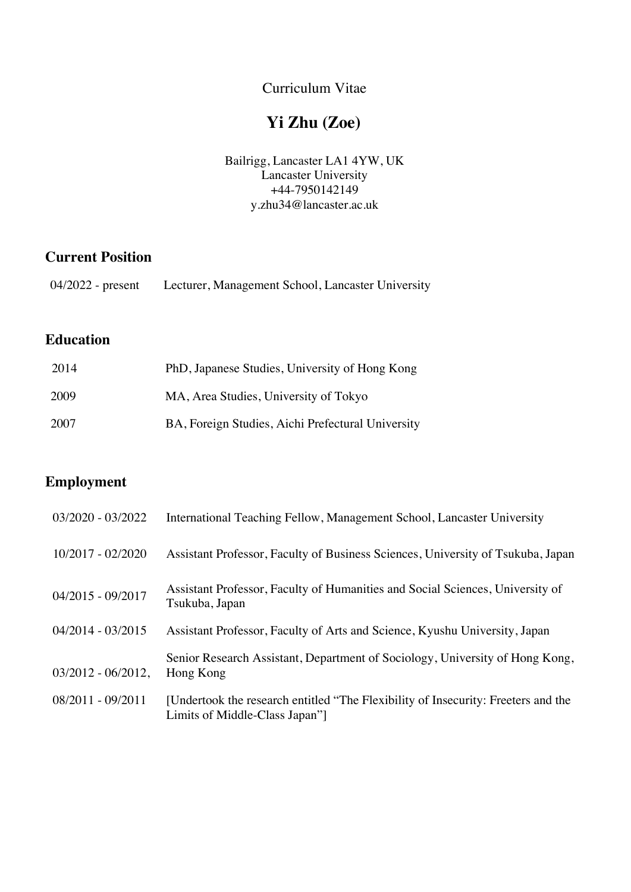Curriculum Vitae

# **Yi Zhu (Zoe)**

Bailrigg, Lancaster LA1 4YW, UK Lancaster University +44-7950142149 y.zhu34@lancaster.ac.uk

## **Current Position**

| $04/2022$ - present<br>Lecturer, Management School, Lancaster University |  |
|--------------------------------------------------------------------------|--|
|--------------------------------------------------------------------------|--|

# **Education**

| 2014 | PhD, Japanese Studies, University of Hong Kong    |
|------|---------------------------------------------------|
| 2009 | MA, Area Studies, University of Tokyo             |
| 2007 | BA, Foreign Studies, Aichi Prefectural University |

### **Employment**

| 03/2020 - 03/2022     | International Teaching Fellow, Management School, Lancaster University                                             |
|-----------------------|--------------------------------------------------------------------------------------------------------------------|
| $10/2017 - 02/2020$   | Assistant Professor, Faculty of Business Sciences, University of Tsukuba, Japan                                    |
| 04/2015 - 09/2017     | Assistant Professor, Faculty of Humanities and Social Sciences, University of<br>Tsukuba, Japan                    |
| $04/2014 - 03/2015$   | Assistant Professor, Faculty of Arts and Science, Kyushu University, Japan                                         |
| $03/2012 - 06/2012$ , | Senior Research Assistant, Department of Sociology, University of Hong Kong,<br>Hong Kong                          |
| 08/2011 - 09/2011     | [Undertook the research entitled "The Flexibility of Insecurity: Freeters and the<br>Limits of Middle-Class Japan" |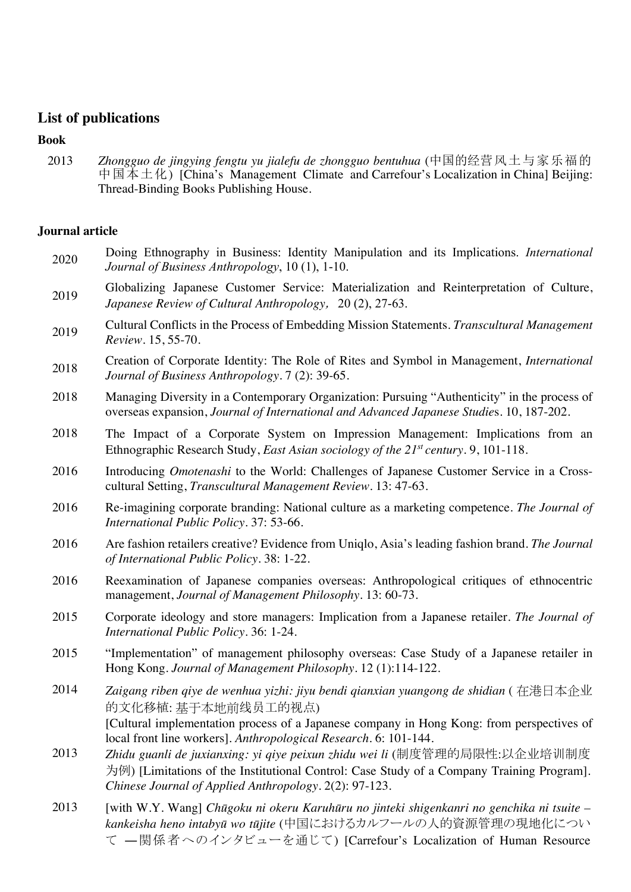### **List of publications**

#### **Book**

2013 *Zhongguo de jingying fengtu yu jialefu de zhongguo bentuhua* (中国的经营风土与家乐福的 中国本土化) [China's Management Climate and Carrefour's Localization in China] Beijing: Thread-Binding Books Publishing House.

### **Journal article**

- <sup>2020</sup> Doing Ethnography in Business: Identity Manipulation and its Implications. *International Journal of Business Anthropology*, 10 (1), 1-10.
- <sup>2019</sup> Globalizing Japanese Customer Service: Materialization and Reinterpretation of Culture, *Japanese Review of Cultural Anthropology*, 20 (2), 27-63.
- <sup>2019</sup> Cultural Conflicts in the Process of Embedding Mission Statements. *Transcultural Management Review*. 15, 55-70.
- <sup>2018</sup> Creation of Corporate Identity: The Role of Rites and Symbol in Management, *International Journal of Business Anthropology*. 7 (2): 39-65.
- 2018 Managing Diversity in a Contemporary Organization: Pursuing "Authenticity" in the process of overseas expansion, *Journal of International and Advanced Japanese Studie*s. 10, 187-202.
- 2018 The Impact of a Corporate System on Impression Management: Implications from an Ethnographic Research Study, *East Asian sociology of the 21st century*. 9, 101-118.
- 2016 Introducing *Omotenashi* to the World: Challenges of Japanese Customer Service in a Crosscultural Setting, *Transcultural Management Review*. 13: 47-63.
- 2016 Re-imagining corporate branding: National culture as a marketing competence. *The Journal of International Public Policy.* 37: 53-66.
- 2016 Are fashion retailers creative? Evidence from Uniqlo, Asia's leading fashion brand. *The Journal of International Public Policy.* 38: 1-22.
- 2016 Reexamination of Japanese companies overseas: Anthropological critiques of ethnocentric management, *Journal of Management Philosophy.* 13: 60-73.
- 2015 Corporate ideology and store managers: Implication from a Japanese retailer. *The Journal of International Public Policy*. 36: 1-24.
- 2015 "Implementation" of management philosophy overseas: Case Study of a Japanese retailer in Hong Kong. *Journal of Management Philosophy*. 12 (1):114-122.
- 2014 *Zaigang riben qiye de wenhua yizhi: jiyu bendi qianxian yuangong de shidian* (在港日本企业 的文化移植: 基于本地前线员工的视点) [Cultural implementation process of a Japanese company in Hong Kong: from perspectives of local front line workers]. *Anthropological Research*. 6: 101-144.
- 2013 *Zhidu guanli de juxianxing: yi qiye peixun zhidu wei li* (制度管理的局限性:以企业培训制度 为例) [Limitations of the Institutional Control: Case Study of a Company Training Program]. *Chinese Journal of Applied Anthropology.* 2(2): 97-123.
- 2013 [with W.Y. Wang] *Chūgoku ni okeru Karuhūru no jinteki shigenkanri no genchika ni tsuite – kankeisha heno intabyū wo tūjite* (中国におけるカルフールの人的資源管理の現地化につい て ―関係者へのインタビューを通じて) [Carrefour's Localization of Human Resource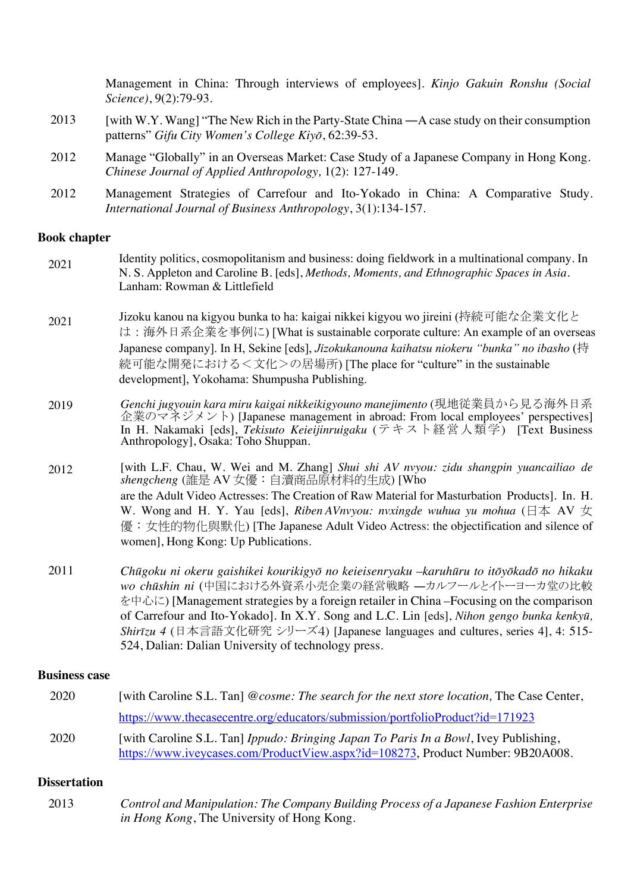|      | Management in China: Through interviews of employees]. Kinjo Gakuin Ronshu (Social<br>Science), 9(2):79-93.                                        |
|------|----------------------------------------------------------------------------------------------------------------------------------------------------|
| 2013 | [with W.Y. Wang] "The New Rich in the Party-State China —A case study on their consumption<br>patterns" Gifu City Women's College Kiyō, 62:39-53.  |
| 2012 | Manage "Globally" in an Overseas Market: Case Study of a Japanese Company in Hong Kong.<br>Chinese Journal of Applied Anthropology, 1(2): 127-149. |
| 2012 | Management Strategies of Carrefour and Ito-Yokado in China: A Comparative Study.<br>International Journal of Business Anthropology, 3(1):134-157.  |

#### **Book chapter**

| 2021 | Identity politics, cosmopolitanism and business: doing fieldwork in a multinational company. In |
|------|-------------------------------------------------------------------------------------------------|
|      | N. S. Appleton and Caroline B. [eds], Methods, Moments, and Ethnographic Spaces in Asia.        |
|      | Lanham: Rowman & Littlefield                                                                    |

<sub>2021</sub> Jizoku kanou na kigyou bunka to ha: kaigai nikkei kigyou wo jireini (持続可能な企業文化と は:海外日系企業を事例に) [What is sustainable corporate culture: An example of an overseas Japanese company]. In H, Sekine [eds], *Jizokukanouna kaihatsu niokeru "bunka" no ibasho* (持 続可能な開発における<文化>の居場所) [The place for "culture" in the sustainable development], Yokohama: Shumpusha Publishing.

2019 *Genchi jugyouin kara miru kaigai nikkeikigyouno manejimento* (現地従業員から見る海外日系 企業のマネジメント) [Japanese management in abroad: From local employees' perspectives] In H. Nakamaki [eds], *Tekisuto Keieijinruigaku* (テキスト経営人類学) [Text Business Anthropology], Osaka: Toho Shuppan.

2012 [with L.F. Chau, W. Wei and M. Zhang] *Shui shi AV nvyou: zidu shangpin yuancailiao de shengcheng* (誰是 AV 女優:自瀆商品原材料的生成) [Who are the Adult Video Actresses: The Creation of Raw Material for Masturbation Products]. In. H. W. Wong and H. Y. Yau [eds], *Riben AVnvyou: nvxingde wuhua yu mohua* (日本 AV 女 優:女性的物化與默化) [The Japanese Adult Video Actress: the objectification and silence of women], Hong Kong: Up Publications.

2011 *Chūgoku ni okeru gaishikei kourikigyō no keieisenryaku –karuhūru to itōyōkadō no hikaku wo chūshin ni* (中国における外資系小売企業の経営戦略 ―カルフールとイトーヨーカ堂の比較 を中心に) [Management strategies by a foreign retailer in China –Focusing on the comparison of Carrefour and Ito-Yokado]. In X.Y. Song and L.C. Lin [eds], *Nihon gengo bunka kenkyū, Shirīzu 4* (日本言語文化研究 シリーズ4) [Japanese languages and cultures, series 4], 4: 515- 524, Dalian: Dalian University of technology press.

#### **Business case**

| 2020 | [with Caroline S.L. Tan] @cosme: The search for the next store location, The Case Center,                                                                               |
|------|-------------------------------------------------------------------------------------------------------------------------------------------------------------------------|
|      | https://www.thecasecentre.org/educators/submission/portfolioProduct?id=171923                                                                                           |
| 2020 | [with Caroline S.L. Tan] Ippudo: Bringing Japan To Paris In a Bowl, Ivey Publishing,<br>https://www.iveycases.com/ProductView.aspx?id=108273, Product Number: 9B20A008. |

#### **Dissertation**

| 2013 | Control and Manipulation: The Company Building Process of a Japanese Fashion Enterprise |
|------|-----------------------------------------------------------------------------------------|
|      | <i>in Hong Kong</i> , The University of Hong Kong.                                      |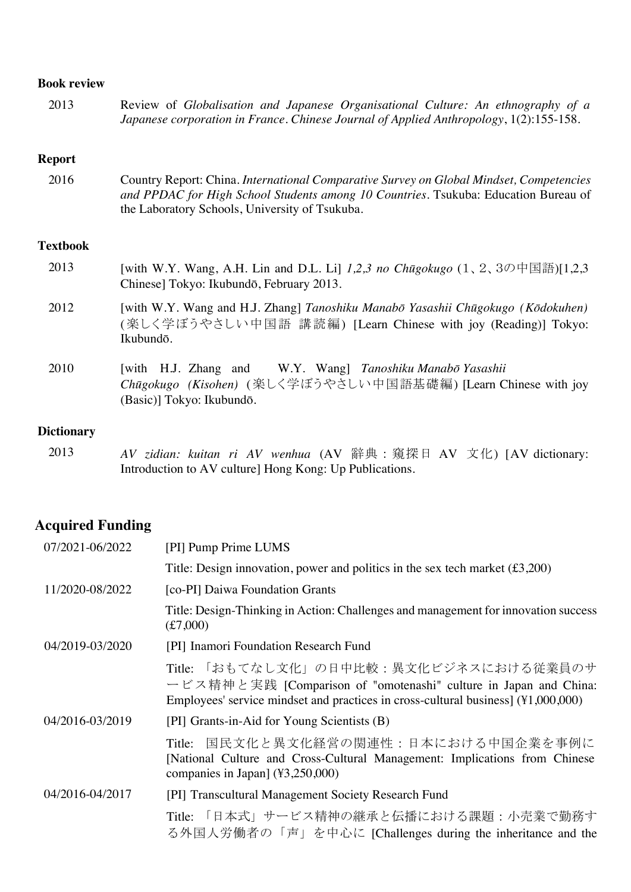#### **Book review**

| 2013 | Review of Globalisation and Japanese Organisational Culture: An ethnography of a       |
|------|----------------------------------------------------------------------------------------|
|      | Japanese corporation in France. Chinese Journal of Applied Anthropology, 1(2):155-158. |

#### **Report**

| 2016 | Country Report: China. International Comparative Survey on Global Mindset, Competencies |
|------|-----------------------------------------------------------------------------------------|
|      | and PPDAC for High School Students among 10 Countries. Tsukuba: Education Bureau of     |
|      | the Laboratory Schools, University of Tsukuba.                                          |

#### **Textbook**

| 2013 | [with W.Y. Wang, A.H. Lin and D.L. Li] 1,2,3 no Chūgokugo $(1, 2, 3 \mathcal{D} + \mathbb{E} \mathbb{H})$ [1,2,3] |
|------|-------------------------------------------------------------------------------------------------------------------|
|      | Chinese] Tokyo: Ikubundō, February 2013.                                                                          |

- 2012 [with W.Y. Wang and H.J. Zhang] *Tanoshiku Manabō Yasashii Chūgokugo (Kōdokuhen)*  (楽しく学ぼうやさしい中国語 講読編) [Learn Chinese with joy (Reading)] Tokyo: Ikubundō.
- 2010 [with H.J. Zhang and W.Y. Wang] *Tanoshiku Manabō Yasashii Chūgokugo (Kisohen)* (楽しく学ぼうやさしい中国語基礎編) [Learn Chinese with joy (Basic)] Tokyo: Ikubundō.

#### **Dictionary**

2013 *AV zidian: kuitan ri AV wenhua* (AV 辭典:窺探日 AV 文化) [AV dictionary: Introduction to AV culture] Hong Kong: Up Publications.

### **Acquired Funding**

| 07/2021-06/2022 | [PI] Pump Prime LUMS                                                                                                                                                                            |
|-----------------|-------------------------------------------------------------------------------------------------------------------------------------------------------------------------------------------------|
|                 | Title: Design innovation, power and politics in the sex tech market $(\text{\textsterling}3,200)$                                                                                               |
| 11/2020-08/2022 | [co-PI] Daiwa Foundation Grants                                                                                                                                                                 |
|                 | Title: Design-Thinking in Action: Challenges and management for innovation success<br>(f7,000)                                                                                                  |
| 04/2019-03/2020 | [PI] Inamori Foundation Research Fund                                                                                                                                                           |
|                 | Title: 「おもてなし文化」の日中比較:異文化ビジネスにおける従業員のサ<br>ービス精神と実践 [Comparison of "omotenashi" culture in Japan and China:<br>Employees' service mindset and practices in cross-cultural business] (¥1,000,000) |
| 04/2016-03/2019 | [PI] Grants-in-Aid for Young Scientists (B)                                                                                                                                                     |
|                 | 国民文化と異文化経営の関連性:日本における中国企業を事例に<br>Title:<br>[National Culture and Cross-Cultural Management: Implications from Chinese<br>companies in Japan] (¥3,250,000)                                       |
| 04/2016-04/2017 | [PI] Transcultural Management Society Research Fund                                                                                                                                             |
|                 | Title: 「日本式」サービス精神の継承と伝播における課題:小売業で勤務す<br>る外国人労働者の「声」を中心に [Challenges during the inheritance and the                                                                                            |
|                 |                                                                                                                                                                                                 |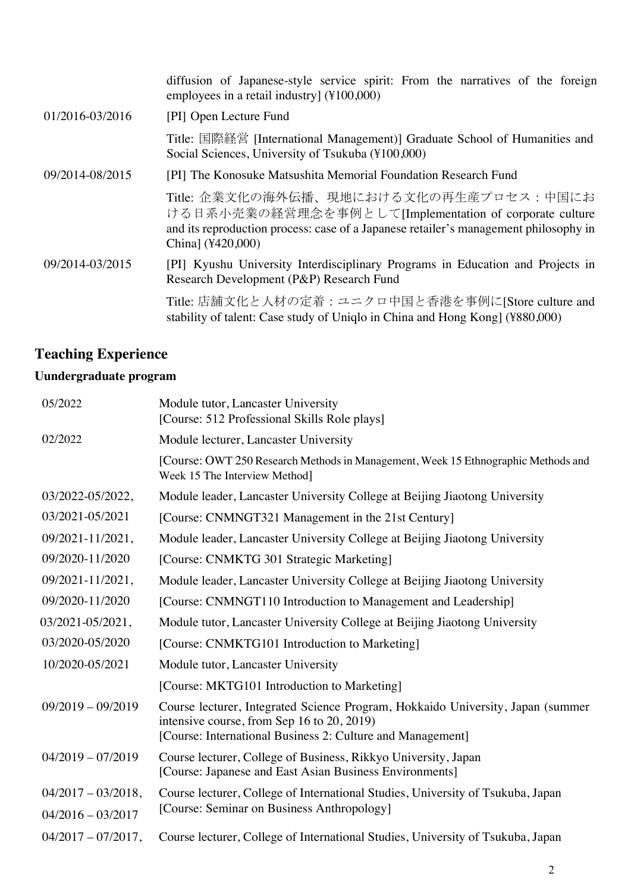|                 | diffusion of Japanese-style service spirit: From the narratives of the foreign<br>employees in a retail industry] (¥100,000)                                                                                  |
|-----------------|---------------------------------------------------------------------------------------------------------------------------------------------------------------------------------------------------------------|
| 01/2016-03/2016 | [PI] Open Lecture Fund                                                                                                                                                                                        |
|                 | Title: 国際経営 [International Management)] Graduate School of Humanities and<br>Social Sciences, University of Tsukuba (¥100,000)                                                                                |
| 09/2014-08/2015 | [PI] The Konosuke Matsushita Memorial Foundation Research Fund                                                                                                                                                |
|                 | Title: 企業文化の海外伝播、現地における文化の再生産プロセス:中国にお<br>ける日系小売業の経営理念を事例として[Implementation of corporate culture<br>and its reproduction process: case of a Japanese retailer's management philosophy in<br>China] (¥420,000) |
| 09/2014-03/2015 | [PI] Kyushu University Interdisciplinary Programs in Education and Projects in<br>Research Development (P&P) Research Fund                                                                                    |
|                 | Title: 店舗文化と人材の定着: ユニクロ中国と香港を事例に[Store culture and<br>stability of talent: Case study of Uniqlo in China and Hong Kong] (¥880,000)                                                                            |

# **Teaching Experience**

## **Uundergraduate program**

| 05/2022               | Module tutor, Lancaster University<br>[Course: 512 Professional Skills Role plays]                                                                                                          |
|-----------------------|---------------------------------------------------------------------------------------------------------------------------------------------------------------------------------------------|
| 02/2022               | Module lecturer, Lancaster University                                                                                                                                                       |
|                       | [Course: OWT 250 Research Methods in Management, Week 15 Ethnographic Methods and<br>Week 15 The Interview Method]                                                                          |
| 03/2022-05/2022,      | Module leader, Lancaster University College at Beijing Jiaotong University                                                                                                                  |
| 03/2021-05/2021       | [Course: CNMNGT321 Management in the 21st Century]                                                                                                                                          |
| 09/2021-11/2021,      | Module leader, Lancaster University College at Beijing Jiaotong University                                                                                                                  |
| 09/2020-11/2020       | [Course: CNMKTG 301 Strategic Marketing]                                                                                                                                                    |
| 09/2021-11/2021,      | Module leader, Lancaster University College at Beijing Jiaotong University                                                                                                                  |
| 09/2020-11/2020       | [Course: CNMNGT110 Introduction to Management and Leadership]                                                                                                                               |
| 03/2021-05/2021,      | Module tutor, Lancaster University College at Beijing Jiaotong University                                                                                                                   |
| 03/2020-05/2020       | [Course: CNMKTG101 Introduction to Marketing]                                                                                                                                               |
| 10/2020-05/2021       | Module tutor, Lancaster University                                                                                                                                                          |
|                       | [Course: MKTG101 Introduction to Marketing]                                                                                                                                                 |
| $09/2019 - 09/2019$   | Course lecturer, Integrated Science Program, Hokkaido University, Japan (summer<br>intensive course, from Sep 16 to 20, 2019)<br>[Course: International Business 2: Culture and Management] |
| $04/2019 - 07/2019$   | Course lecturer, College of Business, Rikkyo University, Japan<br>[Course: Japanese and East Asian Business Environments]                                                                   |
| $04/2017 - 03/2018$ , | Course lecturer, College of International Studies, University of Tsukuba, Japan                                                                                                             |
| $04/2016 - 03/2017$   | [Course: Seminar on Business Anthropology]                                                                                                                                                  |
| $04/2017 - 07/2017$ , | Course lecturer, College of International Studies, University of Tsukuba, Japan                                                                                                             |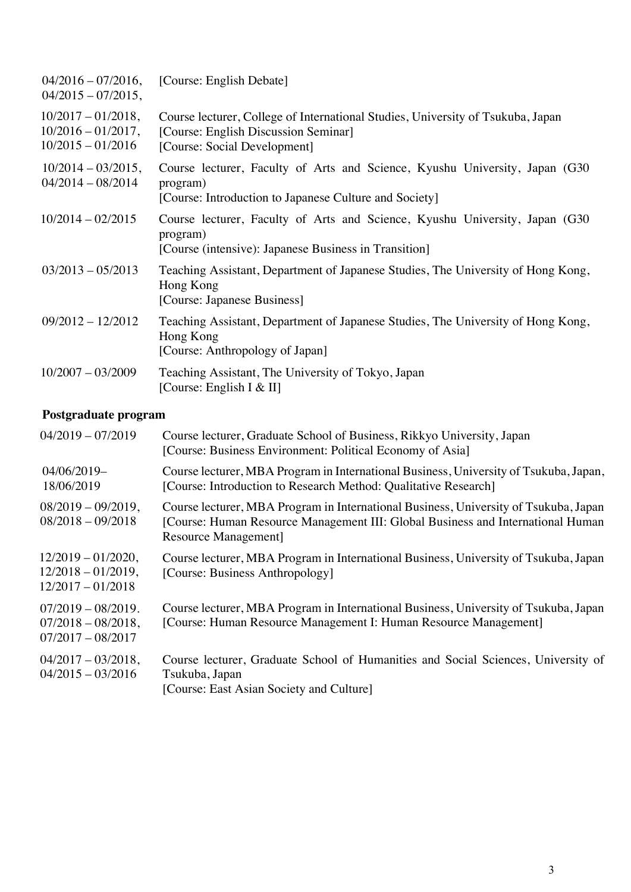| $04/2016 - 07/2016$ ,<br>$04/2015 - 07/2015$ ,                        | [Course: English Debate]                                                                                                                                |
|-----------------------------------------------------------------------|---------------------------------------------------------------------------------------------------------------------------------------------------------|
| $10/2017 - 01/2018$ ,<br>$10/2016 - 01/2017$ ,<br>$10/2015 - 01/2016$ | Course lecturer, College of International Studies, University of Tsukuba, Japan<br>[Course: English Discussion Seminar]<br>[Course: Social Development] |
| $10/2014 - 03/2015$ ,<br>$04/2014 - 08/2014$                          | Course lecturer, Faculty of Arts and Science, Kyushu University, Japan (G30)<br>program)<br>[Course: Introduction to Japanese Culture and Society]      |
| $10/2014 - 02/2015$                                                   | Course lecturer, Faculty of Arts and Science, Kyushu University, Japan (G30)<br>program)<br>[Course (intensive): Japanese Business in Transition]       |
| $03/2013 - 05/2013$                                                   | Teaching Assistant, Department of Japanese Studies, The University of Hong Kong,<br>Hong Kong<br>[Course: Japanese Business]                            |
| $09/2012 - 12/2012$                                                   | Teaching Assistant, Department of Japanese Studies, The University of Hong Kong,<br>Hong Kong<br>[Course: Anthropology of Japan]                        |
| $10/2007 - 03/2009$                                                   | Teaching Assistant, The University of Tokyo, Japan<br>[Course: English I & II]                                                                          |

## **Postgraduate program**

| $04/2019 - 07/2019$                                                   | Course lecturer, Graduate School of Business, Rikkyo University, Japan<br>[Course: Business Environment: Political Economy of Asia]                                                            |
|-----------------------------------------------------------------------|------------------------------------------------------------------------------------------------------------------------------------------------------------------------------------------------|
| 04/06/2019-<br>18/06/2019                                             | Course lecturer, MBA Program in International Business, University of Tsukuba, Japan,<br>[Course: Introduction to Research Method: Qualitative Research]                                       |
| $08/2019 - 09/2019$ ,<br>$08/2018 - 09/2018$                          | Course lecturer, MBA Program in International Business, University of Tsukuba, Japan<br>[Course: Human Resource Management III: Global Business and International Human<br>Resource Management |
| $12/2019 - 01/2020$ ,<br>$12/2018 - 01/2019$ ,<br>$12/2017 - 01/2018$ | Course lecturer, MBA Program in International Business, University of Tsukuba, Japan<br>[Course: Business Anthropology]                                                                        |
| $07/2019 - 08/2019.$<br>$07/2018 - 08/2018$ ,<br>$07/2017 - 08/2017$  | Course lecturer, MBA Program in International Business, University of Tsukuba, Japan<br>[Course: Human Resource Management I: Human Resource Management]                                       |
| $04/2017 - 03/2018$ ,<br>$04/2015 - 03/2016$                          | Course lecturer, Graduate School of Humanities and Social Sciences, University of<br>Tsukuba, Japan<br>[Course: East Asian Society and Culture]                                                |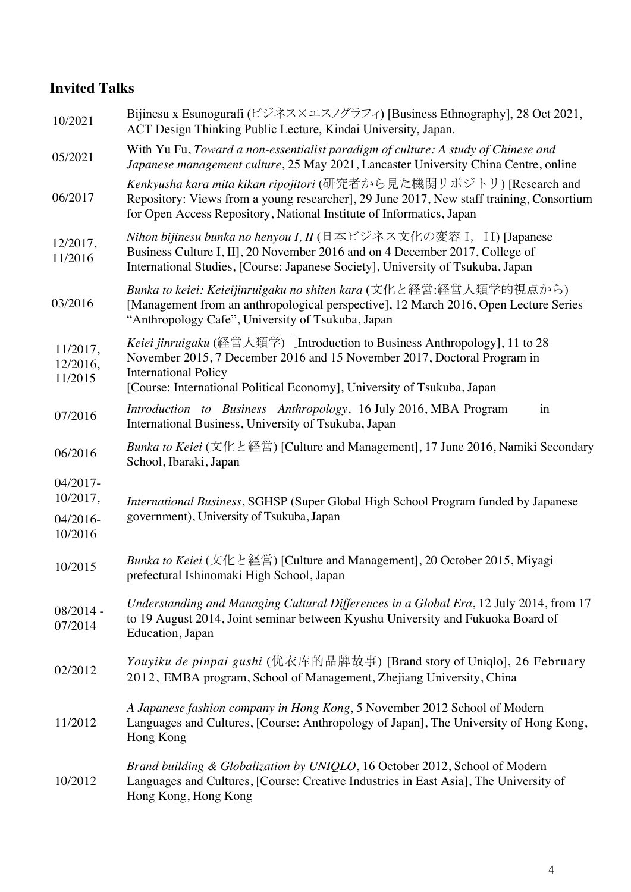## **Invited Talks**

| 10/2021                         | Bijinesu x Esunogurafi (ビジネス×エスノグラフィ) [Business Ethnography], 28 Oct 2021,<br>ACT Design Thinking Public Lecture, Kindai University, Japan.                                                                                                                      |
|---------------------------------|------------------------------------------------------------------------------------------------------------------------------------------------------------------------------------------------------------------------------------------------------------------|
| 05/2021                         | With Yu Fu, Toward a non-essentialist paradigm of culture: A study of Chinese and<br>Japanese management culture, 25 May 2021, Lancaster University China Centre, online                                                                                         |
| 06/2017                         | Kenkyusha kara mita kikan ripojitori (研究者から見た機関リポジトリ) [Research and<br>Repository: Views from a young researcher], 29 June 2017, New staff training, Consortium<br>for Open Access Repository, National Institute of Informatics, Japan                          |
| 12/2017,<br>11/2016             | Nihon bijinesu bunka no henyou I, II (日本ビジネス文化の変容 I, II) [Japanese<br>Business Culture I, II], 20 November 2016 and on 4 December 2017, College of<br>International Studies, [Course: Japanese Society], University of Tsukuba, Japan                            |
| 03/2016                         | Bunka to keiei: Keieijinruigaku no shiten kara (文化と経営:経営人類学的視点から)<br>[Management from an anthropological perspective], 12 March 2016, Open Lecture Series<br>"Anthropology Cafe", University of Tsukuba, Japan                                                   |
| 11/2017,<br>12/2016,<br>11/2015 | Keiei jinruigaku (経営人類学) [Introduction to Business Anthropology], 11 to 28<br>November 2015, 7 December 2016 and 15 November 2017, Doctoral Program in<br><b>International Policy</b><br>[Course: International Political Economy], University of Tsukuba, Japan |
| 07/2016                         | Introduction to Business Anthropology, 16 July 2016, MBA Program<br>$\operatorname{in}$<br>International Business, University of Tsukuba, Japan                                                                                                                  |
| 06/2016                         | Bunka to Keiei (文化と経営) [Culture and Management], 17 June 2016, Namiki Secondary<br>School, Ibaraki, Japan                                                                                                                                                        |
| 04/2017-<br>10/2017,            | International Business, SGHSP (Super Global High School Program funded by Japanese                                                                                                                                                                               |
| 04/2016-<br>10/2016             | government), University of Tsukuba, Japan                                                                                                                                                                                                                        |
| 10/2015                         | Bunka to Keiei (文化と経営) [Culture and Management], 20 October 2015, Miyagi<br>prefectural Ishinomaki High School, Japan                                                                                                                                            |
| $08/2014 -$<br>07/2014          | Understanding and Managing Cultural Differences in a Global Era, 12 July 2014, from 17<br>to 19 August 2014, Joint seminar between Kyushu University and Fukuoka Board of<br>Education, Japan                                                                    |
| 02/2012                         | Youyiku de pinpai gushi (优衣库的品牌故事) [Brand story of Uniqlo], 26 February<br>2012, EMBA program, School of Management, Zhejiang University, China                                                                                                                  |
| 11/2012                         | A Japanese fashion company in Hong Kong, 5 November 2012 School of Modern<br>Languages and Cultures, [Course: Anthropology of Japan], The University of Hong Kong,<br>Hong Kong                                                                                  |
| 10/2012                         | Brand building & Globalization by UNIQLO, 16 October 2012, School of Modern<br>Languages and Cultures, [Course: Creative Industries in East Asia], The University of<br>Hong Kong, Hong Kong                                                                     |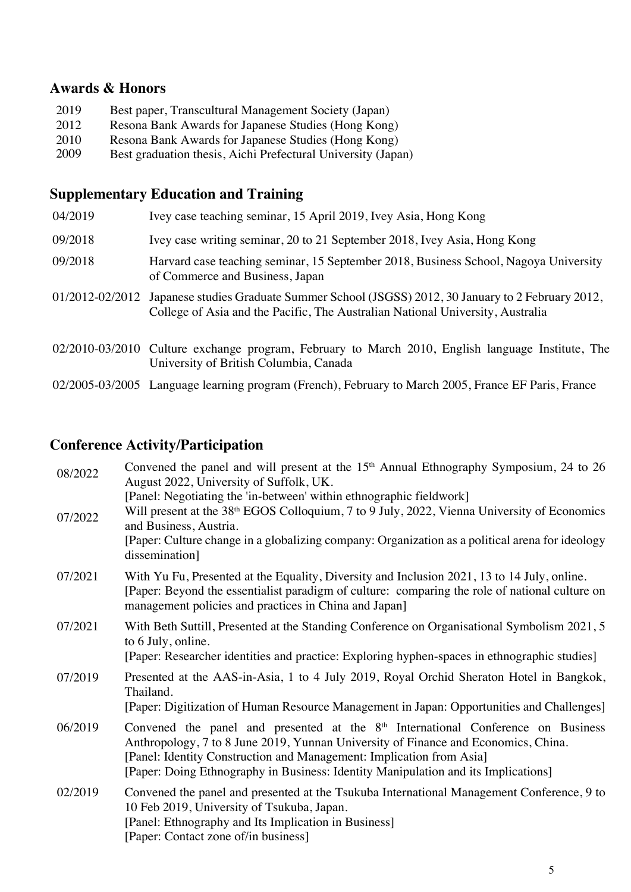### **Awards & Honors**

| 2019 | Best paper, Transcultural Management Society (Japan)         |
|------|--------------------------------------------------------------|
| 2012 | Resona Bank Awards for Japanese Studies (Hong Kong)          |
| 2010 | Resona Bank Awards for Japanese Studies (Hong Kong)          |
| 2009 | Best graduation thesis, Aichi Prefectural University (Japan) |

# **Supplementary Education and Training**

| 04/2019 | Ivey case teaching seminar, 15 April 2019, Ivey Asia, Hong Kong                                                                                                                        |
|---------|----------------------------------------------------------------------------------------------------------------------------------------------------------------------------------------|
| 09/2018 | Ivey case writing seminar, 20 to 21 September 2018, Ivey Asia, Hong Kong                                                                                                               |
| 09/2018 | Harvard case teaching seminar, 15 September 2018, Business School, Nagoya University<br>of Commerce and Business, Japan                                                                |
|         | 01/2012-02/2012 Japanese studies Graduate Summer School (JSGSS) 2012, 30 January to 2 February 2012,<br>College of Asia and the Pacific, The Australian National University, Australia |
|         | 02/2010-03/2010 Culture exchange program, February to March 2010, English language Institute, The<br>University of British Columbia, Canada                                            |
|         | 02/2005-03/2005 Language learning program (French), February to March 2005, France EF Paris, France                                                                                    |

# **Conference Activity/Participation**

| 08/2022 | Convened the panel and will present at the 15 <sup>th</sup> Annual Ethnography Symposium, 24 to 26<br>August 2022, University of Suffolk, UK.                                                                                                                                                                                          |
|---------|----------------------------------------------------------------------------------------------------------------------------------------------------------------------------------------------------------------------------------------------------------------------------------------------------------------------------------------|
| 07/2022 | [Panel: Negotiating the 'in-between' within ethnographic fieldwork]<br>Will present at the 38 <sup>th</sup> EGOS Colloquium, 7 to 9 July, 2022, Vienna University of Economics<br>and Business, Austria.<br>[Paper: Culture change in a globalizing company: Organization as a political arena for ideology<br>dissemination]          |
| 07/2021 | With Yu Fu, Presented at the Equality, Diversity and Inclusion 2021, 13 to 14 July, online.<br>[Paper: Beyond the essentialist paradigm of culture: comparing the role of national culture on<br>management policies and practices in China and Japan]                                                                                 |
| 07/2021 | With Beth Suttill, Presented at the Standing Conference on Organisational Symbolism 2021, 5<br>to 6 July, online.<br>[Paper: Researcher identities and practice: Exploring hyphen-spaces in ethnographic studies]                                                                                                                      |
| 07/2019 | Presented at the AAS-in-Asia, 1 to 4 July 2019, Royal Orchid Sheraton Hotel in Bangkok,<br>Thailand.<br>[Paper: Digitization of Human Resource Management in Japan: Opportunities and Challenges]                                                                                                                                      |
| 06/2019 | Convened the panel and presented at the $8th$ International Conference on Business<br>Anthropology, 7 to 8 June 2019, Yunnan University of Finance and Economics, China.<br>[Panel: Identity Construction and Management: Implication from Asia]<br>[Paper: Doing Ethnography in Business: Identity Manipulation and its Implications] |
| 02/2019 | Convened the panel and presented at the Tsukuba International Management Conference, 9 to<br>10 Feb 2019, University of Tsukuba, Japan.<br>[Panel: Ethnography and Its Implication in Business]<br>[Paper: Contact zone of/in business]                                                                                                |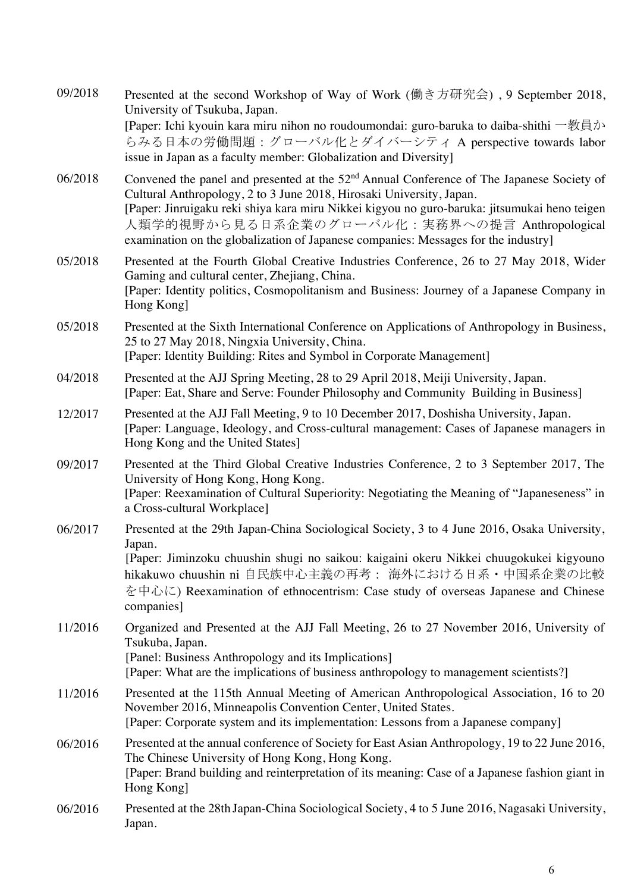| 09/2018 | Presented at the second Workshop of Way of Work (働き方研究会), 9 September 2018,<br>University of Tsukuba, Japan.<br>[Paper: Ichi kyouin kara miru nihon no roudoumondai: guro-baruka to daiba-shithi 一教員か<br>らみる日本の労働問題:グローバル化とダイバーシティ A perspective towards labor<br>issue in Japan as a faculty member: Globalization and Diversity]                                                                                   |
|---------|----------------------------------------------------------------------------------------------------------------------------------------------------------------------------------------------------------------------------------------------------------------------------------------------------------------------------------------------------------------------------------------------------------------------|
| 06/2018 | Convened the panel and presented at the 52 <sup>nd</sup> Annual Conference of The Japanese Society of<br>Cultural Anthropology, 2 to 3 June 2018, Hirosaki University, Japan.<br>[Paper: Jinruigaku reki shiya kara miru Nikkei kigyou no guro-baruka: jitsumukai heno teigen<br>人類学的視野から見る日系企業のグローバル化:実務界への提言 Anthropological<br>examination on the globalization of Japanese companies: Messages for the industry] |
| 05/2018 | Presented at the Fourth Global Creative Industries Conference, 26 to 27 May 2018, Wider<br>Gaming and cultural center, Zhejiang, China.<br>[Paper: Identity politics, Cosmopolitanism and Business: Journey of a Japanese Company in<br>Hong Kong                                                                                                                                                                    |
| 05/2018 | Presented at the Sixth International Conference on Applications of Anthropology in Business,<br>25 to 27 May 2018, Ningxia University, China.<br>[Paper: Identity Building: Rites and Symbol in Corporate Management]                                                                                                                                                                                                |
| 04/2018 | Presented at the AJJ Spring Meeting, 28 to 29 April 2018, Meiji University, Japan.<br>[Paper: Eat, Share and Serve: Founder Philosophy and Community Building in Business]                                                                                                                                                                                                                                           |
| 12/2017 | Presented at the AJJ Fall Meeting, 9 to 10 December 2017, Doshisha University, Japan.<br>[Paper: Language, Ideology, and Cross-cultural management: Cases of Japanese managers in<br>Hong Kong and the United States]                                                                                                                                                                                                |
| 09/2017 | Presented at the Third Global Creative Industries Conference, 2 to 3 September 2017, The<br>University of Hong Kong, Hong Kong.<br>[Paper: Reexamination of Cultural Superiority: Negotiating the Meaning of "Japaneseness" in<br>a Cross-cultural Workplace]                                                                                                                                                        |
| 06/2017 | Presented at the 29th Japan-China Sociological Society, 3 to 4 June 2016, Osaka University,<br>Japan.<br>[Paper: Jiminzoku chuushin shugi no saikou: kaigaini okeru Nikkei chuugokukei kigyouno<br>hikakuwo chuushin ni 自民族中心主義の再考: 海外における日系・中国系企業の比較<br>を中心に) Reexamination of ethnocentrism: Case study of overseas Japanese and Chinese<br>companies]                                                             |
| 11/2016 | Organized and Presented at the AJJ Fall Meeting, 26 to 27 November 2016, University of<br>Tsukuba, Japan.<br>[Panel: Business Anthropology and its Implications]<br>[Paper: What are the implications of business anthropology to management scientists?]                                                                                                                                                            |
| 11/2016 | Presented at the 115th Annual Meeting of American Anthropological Association, 16 to 20<br>November 2016, Minneapolis Convention Center, United States.<br>[Paper: Corporate system and its implementation: Lessons from a Japanese company]                                                                                                                                                                         |
| 06/2016 | Presented at the annual conference of Society for East Asian Anthropology, 19 to 22 June 2016,<br>The Chinese University of Hong Kong, Hong Kong.<br>[Paper: Brand building and reinterpretation of its meaning: Case of a Japanese fashion giant in<br>Hong Kong]                                                                                                                                                   |
| 06/2016 | Presented at the 28th Japan-China Sociological Society, 4 to 5 June 2016, Nagasaki University,<br>Japan.                                                                                                                                                                                                                                                                                                             |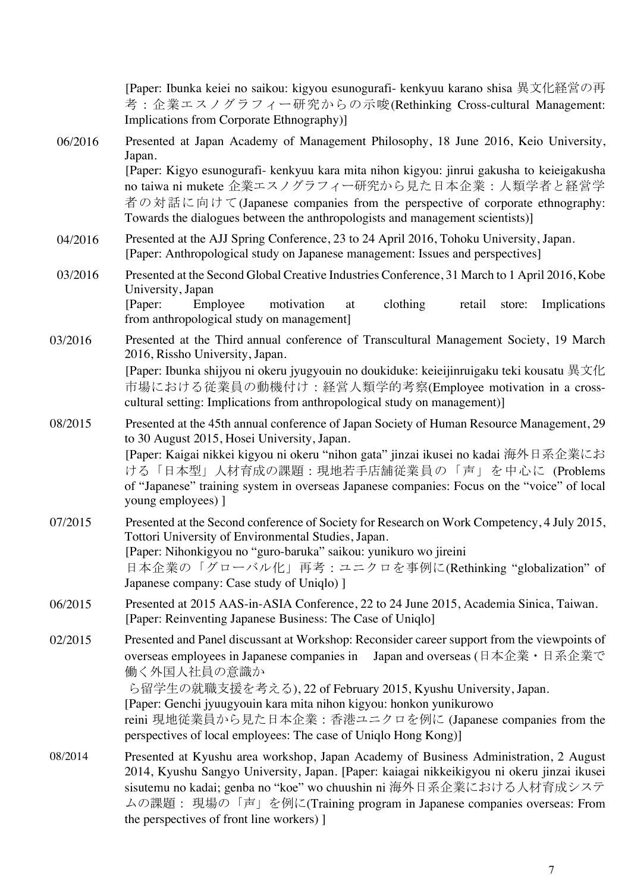[Paper: Ibunka keiei no saikou: kigyou esunogurafi- kenkyuu karano shisa 異文化経営の再 考:企業エスノグラフィー研究からの示唆(Rethinking Cross-cultural Management: Implications from Corporate Ethnography)] 06/2016 Presented at Japan Academy of Management Philosophy, 18 June 2016, Keio University, Japan. [Paper: Kigyo esunogurafi- kenkyuu kara mita nihon kigyou: jinrui gakusha to keieigakusha no taiwa ni mukete 企業エスノグラフィー研究から見た日本企業:人類学者と経営学 者の対話に向けて(Japanese companies from the perspective of corporate ethnography: Towards the dialogues between the anthropologists and management scientists)] 04/2016 Presented at the AJJ Spring Conference, 23 to 24 April 2016, Tohoku University, Japan. [Paper: Anthropological study on Japanese management: Issues and perspectives] 03/2016 Presented at the Second Global Creative Industries Conference, 31 March to 1 April 2016, Kobe University, Japan [Paper: Employee motivation at clothing retail store: Implications from anthropological study on management] 03/2016 Presented at the Third annual conference of Transcultural Management Society, 19 March 2016, Rissho University, Japan. [Paper: Ibunka shijyou ni okeru jyugyouin no doukiduke: keieijinruigaku teki kousatu 異文化 市場における従業員の動機付け:経営人類学的考察(Employee motivation in a crosscultural setting: Implications from anthropological study on management)] 08/2015 Presented at the 45th annual conference of Japan Society of Human Resource Management, 29 to 30 August 2015, Hosei University, Japan. [Paper: Kaigai nikkei kigyou ni okeru "nihon gata" jinzai ikusei no kadai 海外日系企業にお ける「日本型」人材育成の課題:現地若手店舗従業員の「声」を中心に (Problems of "Japanese" training system in overseas Japanese companies: Focus on the "voice" of local young employees) ] 07/2015 Presented at the Second conference of Society for Research on Work Competency, 4 July 2015, Tottori University of Environmental Studies, Japan. [Paper: Nihonkigyou no "guro-baruka" saikou: yunikuro wo jireini 日本企業の「グローバル化」再考:ユニクロを事例に(Rethinking "globalization" of Japanese company: Case study of Uniqlo) ] 06/2015 Presented at 2015 AAS-in-ASIA Conference, 22 to 24 June 2015, Academia Sinica, Taiwan. [Paper: Reinventing Japanese Business: The Case of Uniqlo] 02/2015 Presented and Panel discussant at Workshop: Reconsider career support from the viewpoints of overseas employees in Japanese companies in Japan and overseas (日本企業・日系企業で 働く外国人社員の意識か ら留学生の就職支援を考える), 22 of February 2015, Kyushu University, Japan. [Paper: Genchi jyuugyouin kara mita nihon kigyou: honkon yunikurowo reini 現地従業員から見た日本企業:香港ユニクロを例に (Japanese companies from the perspectives of local employees: The case of Uniqlo Hong Kong)] 08/2014 Presented at Kyushu area workshop, Japan Academy of Business Administration, 2 August 2014, Kyushu Sangyo University, Japan. [Paper: kaiagai nikkeikigyou ni okeru jinzai ikusei sisutemu no kadai; genba no "koe" wo chuushin ni 海外日系企業における人材育成システ ムの課題: 現場の「声」を例に(Training program in Japanese companies overseas: From the perspectives of front line workers) ]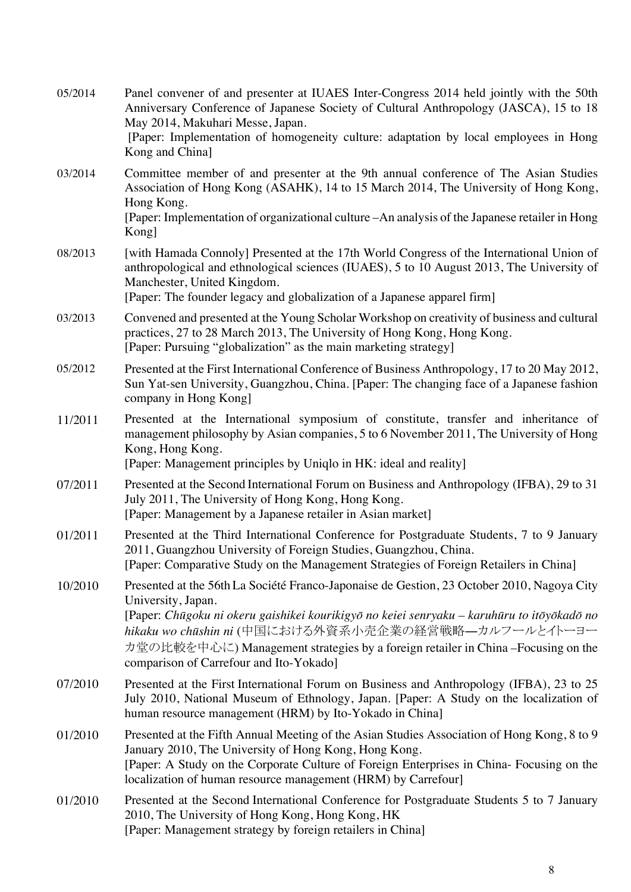| 05/2014 | Panel convener of and presenter at IUAES Inter-Congress 2014 held jointly with the 50th<br>Anniversary Conference of Japanese Society of Cultural Anthropology (JASCA), 15 to 18<br>May 2014, Makuhari Messe, Japan.<br>[Paper: Implementation of homogeneity culture: adaptation by local employees in Hong<br>Kong and China]                                                                       |
|---------|-------------------------------------------------------------------------------------------------------------------------------------------------------------------------------------------------------------------------------------------------------------------------------------------------------------------------------------------------------------------------------------------------------|
| 03/2014 | Committee member of and presenter at the 9th annual conference of The Asian Studies<br>Association of Hong Kong (ASAHK), 14 to 15 March 2014, The University of Hong Kong,<br>Hong Kong.<br>[Paper: Implementation of organizational culture – An analysis of the Japanese retailer in Hong<br>Kong]                                                                                                  |
| 08/2013 | [with Hamada Connoly] Presented at the 17th World Congress of the International Union of<br>anthropological and ethnological sciences (IUAES), 5 to 10 August 2013, The University of<br>Manchester, United Kingdom.<br>[Paper: The founder legacy and globalization of a Japanese apparel firm]                                                                                                      |
| 03/2013 | Convened and presented at the Young Scholar Workshop on creativity of business and cultural<br>practices, 27 to 28 March 2013, The University of Hong Kong, Hong Kong.<br>[Paper: Pursuing "globalization" as the main marketing strategy]                                                                                                                                                            |
| 05/2012 | Presented at the First International Conference of Business Anthropology, 17 to 20 May 2012,<br>Sun Yat-sen University, Guangzhou, China. [Paper: The changing face of a Japanese fashion<br>company in Hong Kong]                                                                                                                                                                                    |
| 11/2011 | Presented at the International symposium of constitute, transfer and inheritance of<br>management philosophy by Asian companies, 5 to 6 November 2011, The University of Hong<br>Kong, Hong Kong.<br>[Paper: Management principles by Uniqlo in HK: ideal and reality]                                                                                                                                |
| 07/2011 | Presented at the Second International Forum on Business and Anthropology (IFBA), 29 to 31<br>July 2011, The University of Hong Kong, Hong Kong.<br>[Paper: Management by a Japanese retailer in Asian market]                                                                                                                                                                                         |
| 01/2011 | Presented at the Third International Conference for Postgraduate Students, 7 to 9 January<br>2011, Guangzhou University of Foreign Studies, Guangzhou, China.<br>[Paper: Comparative Study on the Management Strategies of Foreign Retailers in China]                                                                                                                                                |
| 10/2010 | Presented at the 56th La Société Franco-Japonaise de Gestion, 23 October 2010, Nagoya City<br>University, Japan.<br>[Paper: Chūgoku ni okeru gaishikei kourikigyō no keiei senryaku – karuhūru to itōyōkadō no<br>hikaku wo chūshin ni (中国における外資系小売企業の経営戦略–カルフールとイトーヨー<br>カ堂の比較を中心に) Management strategies by a foreign retailer in China –Focusing on the<br>comparison of Carrefour and Ito-Yokado] |
| 07/2010 | Presented at the First International Forum on Business and Anthropology (IFBA), 23 to 25<br>July 2010, National Museum of Ethnology, Japan. [Paper: A Study on the localization of<br>human resource management (HRM) by Ito-Yokado in China]                                                                                                                                                         |
| 01/2010 | Presented at the Fifth Annual Meeting of the Asian Studies Association of Hong Kong, 8 to 9<br>January 2010, The University of Hong Kong, Hong Kong.<br>[Paper: A Study on the Corporate Culture of Foreign Enterprises in China- Focusing on the<br>localization of human resource management (HRM) by Carrefour]                                                                                    |
| 01/2010 | Presented at the Second International Conference for Postgraduate Students 5 to 7 January<br>2010, The University of Hong Kong, Hong Kong, HK<br>[Paper: Management strategy by foreign retailers in China]                                                                                                                                                                                           |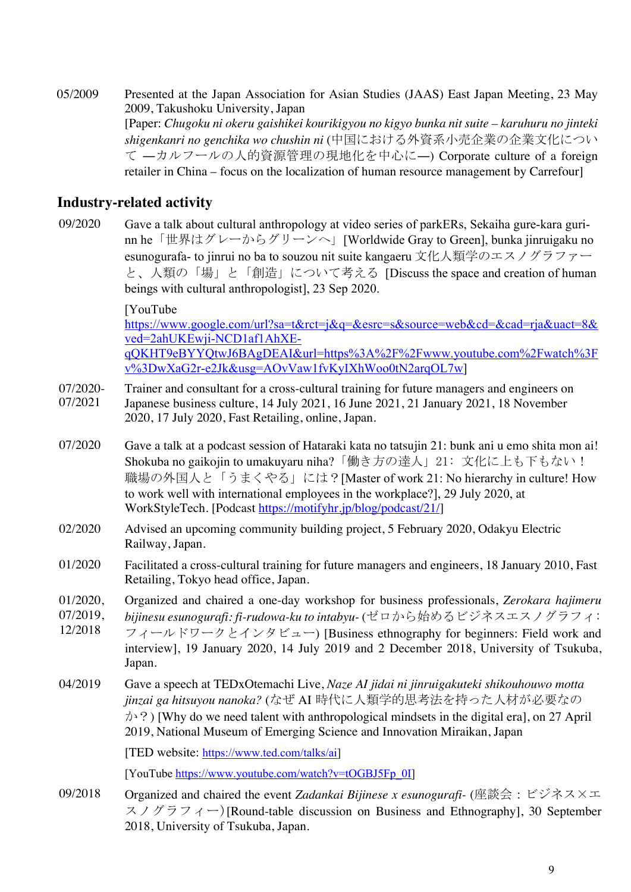05/2009 Presented at the Japan Association for Asian Studies (JAAS) East Japan Meeting, 23 May 2009, Takushoku University, Japan [Paper: *Chugoku ni okeru gaishikei kourikigyou no kigyo bunka nit suite – karuhuru no jinteki shigenkanri no genchika wo chushin ni* (中国における外資系小売企業の企業文化につい て ―カルフールの人的資源管理の現地化を中心に―) Corporate culture of a foreign retailer in China – focus on the localization of human resource management by Carrefour]

### **Industry-related activity**

09/2020 Gave a talk about cultural anthropology at video series of parkERs, Sekaiha gure-kara gurinn he「世界はグレーからグリーンへ」[Worldwide Gray to Green], bunka jinruigaku no esunogurafa- to jinrui no ba to souzou nit suite kangaeru 文化人類学のエスノグラファー と、人類の「場」と「創造」について考える [Discuss the space and creation of human beings with cultural anthropologist], 23 Sep 2020.

[YouTube

https://www.google.com/url?sa=t&rct=j&q=&esrc=s&source=web&cd=&cad=rja&uact=8& ved=2ahUKEwji-NCD1af1AhXEqQKHT9eBYYQtwJ6BAgDEAI&url=https%3A%2F%2Fwww.youtube.com%2Fwatch%3F v%3DwXaG2r-e2Jk&usg=AOvVaw1fvKyIXhWoo0tN2arqOL7w]

- 07/2020- Trainer and consultant for a cross-cultural training for future managers and engineers on
- 07/2021 Japanese business culture, 14 July 2021, 16 June 2021, 21 January 2021, 18 November 2020, 17 July 2020, Fast Retailing, online, Japan.
- 07/2020 Gave a talk at a podcast session of Hataraki kata no tatsujin 21: bunk ani u emo shita mon ai! Shokuba no gaikojin to umakuyaru niha?「働き方の達人」21: 文化に上も下もない! 職場の外国人と「うまくやる」には?[Master of work 21: No hierarchy in culture! How to work well with international employees in the workplace?], 29 July 2020, at WorkStyleTech. [Podcast https://motifyhr.jp/blog/podcast/21/]
- 02/2020 Advised an upcoming community building project, 5 February 2020, Odakyu Electric Railway, Japan.
- 01/2020 Facilitated a cross-cultural training for future managers and engineers, 18 January 2010, Fast Retailing, Tokyo head office, Japan.
- 01/2020, Organized and chaired a one-day workshop for business professionals, *Zerokara hajimeru*
- 07/2019, *bijinesu esunogurafi: fi-rudowa-ku to intabyu-* (ゼロから始めるビジネスエスノグラフィ:
- 12/2018 フィールドワークとインタビュー) [Business ethnography for beginners: Field work and interview], 19 January 2020, 14 July 2019 and 2 December 2018, University of Tsukuba, Japan.
- 04/2019 Gave a speech at TEDxOtemachi Live, *Naze AI jidai ni jinruigakuteki shikouhouwo motta jinzai ga hitsuyou nanoka?* (なぜ AI 時代に人類学的思考法を持った人材が必要なの  $\phi$  ?) [Why do we need talent with anthropological mindsets in the digital era], on 27 April 2019, National Museum of Emerging Science and Innovation Miraikan, Japan

[TED website: https://www.ted.com/talks/ai]

[YouTube https://www.youtube.com/watch?v=tOGBJ5Fp\_0I]

09/2018 Organized and chaired the event *Zadankai Bijinese x esunogurafi-* (座談会:ビジネス×エ スノグラフィー)[Round-table discussion on Business and Ethnography], 30 September 2018, University of Tsukuba, Japan.